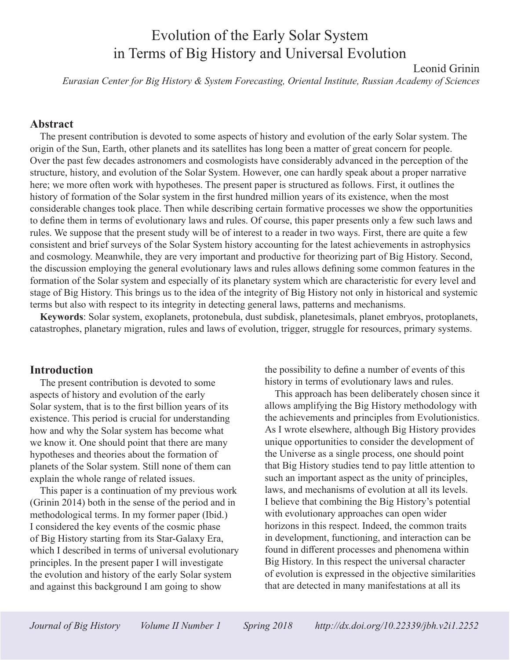# Evolution of the Early Solar System in Terms of Big History and Universal Evolution

Leonid Grinin

*Eurasian Center for Big History & System Forecasting, Oriental Institute, Russian Academy of Sciences*

#### **Abstract**

The present contribution is devoted to some aspects of history and evolution of the early Solar system. The origin of the Sun, Earth, other planets and its satellites has long been a matter of great concern for people. Over the past few decades astronomers and cosmologists have considerably advanced in the perception of the structure, history, and evolution of the Solar System. However, one can hardly speak about a proper narrative here; we more often work with hypotheses. The present paper is structured as follows. First, it outlines the history of formation of the Solar system in the first hundred million years of its existence, when the most considerable changes took place. Then while describing certain formative processes we show the opportunities to define them in terms of evolutionary laws and rules. Of course, this paper presents only a few such laws and rules. We suppose that the present study will be of interest to a reader in two ways. First, there are quite a few consistent and brief surveys of the Solar System history accounting for the latest achievements in astrophysics and cosmology. Meanwhile, they are very important and productive for theorizing part of Big History. Second, the discussion employing the general evolutionary laws and rules allows defining some common features in the formation of the Solar system and especially of its planetary system which are characteristic for every level and stage of Big History. This brings us to the idea of the integrity of Big History not only in historical and systemic terms but also with respect to its integrity in detecting general laws, patterns and mechanisms.

**Keywords**: Solar system, exoplanets, protonebula, dust subdisk, planetesimals, planet embryos, protoplanets, catastrophes, planetary migration, rules and laws of evolution, trigger, struggle for resources, primary systems.

#### **Introduction**

The present contribution is devoted to some aspects of history and evolution of the early Solar system, that is to the first billion years of its existence. This period is crucial for understanding how and why the Solar system has become what we know it. One should point that there are many hypotheses and theories about the formation of planets of the Solar system. Still none of them can explain the whole range of related issues.

This paper is a continuation of my previous work (Grinin 2014) both in the sense of the period and in methodological terms. In my former paper (Ibid.) I considered the key events of the cosmic phase of Big History starting from its Star-Galaxy Era, which I described in terms of universal evolutionary principles. In the present paper I will investigate the evolution and history of the early Solar system and against this background I am going to show

the possibility to define a number of events of this history in terms of evolutionary laws and rules.

This approach has been deliberately chosen since it allows amplifying the Big History methodology with the achievements and principles from Evolutionistics. As I wrote elsewhere, although Big History provides unique opportunities to consider the development of the Universe as a single process, one should point that Big History studies tend to pay little attention to such an important aspect as the unity of principles, laws, and mechanisms of evolution at all its levels. I believe that combining the Big History's potential with evolutionary approaches can open wider horizons in this respect. Indeed, the common traits in development, functioning, and interaction can be found in different processes and phenomena within Big History. In this respect the universal character of evolution is expressed in the objective similarities that are detected in many manifestations at all its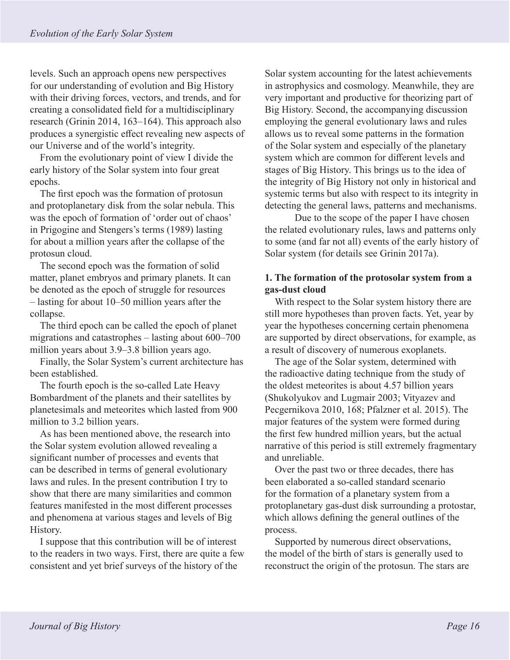levels. Such an approach opens new perspectives for our understanding of evolution and Big History with their driving forces, vectors, and trends, and for creating a consolidated field for a multidisciplinary research (Grinin 2014, 163–164). This approach also produces a synergistic effect revealing new aspects of our Universe and of the world's integrity.

From the evolutionary point of view I divide the early history of the Solar system into four great epochs.

The first epoch was the formation of protosun and protoplanetary disk from the solar nebula. This was the epoch of formation of 'order out of chaos' in Prigogine and Stengers's terms (1989) lasting for about a million years after the collapse of the protosun cloud.

The second epoch was the formation of solid matter, planet embryos and primary planets. It can be denoted as the epoch of struggle for resources – lasting for about 10–50 million years after the collapse.

The third epoch can be called the epoch of planet migrations and catastrophes – lasting about 600–700 million years about 3.9–3.8 billion years ago.

Finally, the Solar System's current architecture has been established.

The fourth epoch is the so-called Late Heavy Bombardment of the planets and their satellites by planetesimals and meteorites which lasted from 900 million to 3.2 billion years.

As has been mentioned above, the research into the Solar system evolution allowed revealing a significant number of processes and events that can be described in terms of general evolutionary laws and rules. In the present contribution I try to show that there are many similarities and common features manifested in the most different processes and phenomena at various stages and levels of Big History.

I suppose that this contribution will be of interest to the readers in two ways. First, there are quite a few consistent and yet brief surveys of the history of the

Solar system accounting for the latest achievements in astrophysics and cosmology. Meanwhile, they are very important and productive for theorizing part of Big History. Second, the accompanying discussion employing the general evolutionary laws and rules allows us to reveal some patterns in the formation of the Solar system and especially of the planetary system which are common for different levels and stages of Big History. This brings us to the idea of the integrity of Big History not only in historical and systemic terms but also with respect to its integrity in detecting the general laws, patterns and mechanisms.

Due to the scope of the paper I have chosen the related evolutionary rules, laws and patterns only to some (and far not all) events of the early history of Solar system (for details see Grinin 2017a).

### **1. The formation of the protosolar system from a gas-dust cloud**

With respect to the Solar system history there are still more hypotheses than proven facts. Yet, year by year the hypotheses concerning certain phenomena are supported by direct observations, for example, as a result of discovery of numerous exoplanets.

The age of the Solar system, determined with the radioactive dating technique from the study of the oldest meteorites is about 4.57 billion years (Shukolyukov and Lugmair 2003; Vityazev and Pecgernikova 2010, 168; Pfalzner et al. 2015). The major features of the system were formed during the first few hundred million years, but the actual narrative of this period is still extremely fragmentary and unreliable.

Over the past two or three decades, there has been elaborated a so-called standard scenario for the formation of a planetary system from a protoplanetary gas-dust disk surrounding a protostar, which allows defining the general outlines of the process.

Supported by numerous direct observations, the model of the birth of stars is generally used to reconstruct the origin of the protosun. The stars are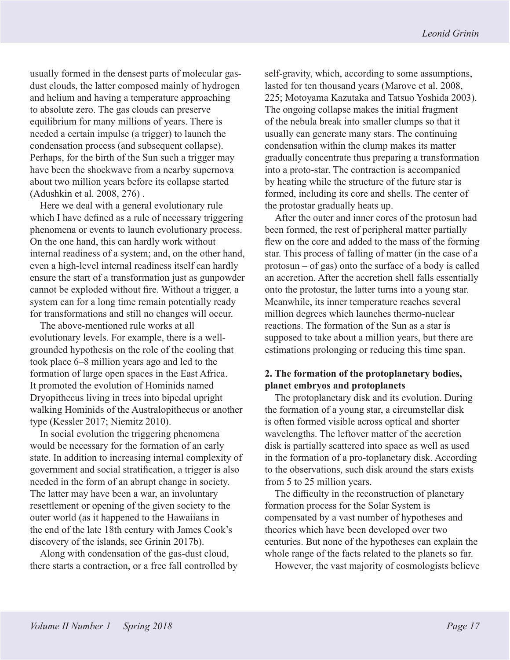usually formed in the densest parts of molecular gasdust clouds, the latter composed mainly of hydrogen and helium and having a temperature approaching to absolute zero. The gas clouds can preserve equilibrium for many millions of years. There is needed a certain impulse (a trigger) to launch the condensation process (and subsequent collapse). Perhaps, for the birth of the Sun such a trigger may have been the shockwave from a nearby supernova about two million years before its collapse started (Adushkin et al. 2008, 276) .

Here we deal with a general evolutionary rule which I have defined as a rule of necessary triggering phenomena or events to launch evolutionary process. On the one hand, this can hardly work without internal readiness of a system; and, on the other hand, even a high-level internal readiness itself can hardly ensure the start of a transformation just as gunpowder cannot be exploded without fire. Without a trigger, a system can for a long time remain potentially ready for transformations and still no changes will occur.

The above-mentioned rule works at all evolutionary levels. For example, there is a wellgrounded hypothesis on the role of the cooling that took place 6–8 million years ago and led to the formation of large open spaces in the East Africa. It promoted the evolution of Hominids named Dryopithecus living in trees into bipedal upright walking Hominids of the Australopithecus or another type (Kessler 2017; Niemitz 2010).

In social evolution the triggering phenomena would be necessary for the formation of an early state. In addition to increasing internal complexity of government and social stratification, a trigger is also needed in the form of an abrupt change in society. The latter may have been a war, an involuntary resettlement or opening of the given society to the outer world (as it happened to the Hawaiians in the end of the late 18th century with James Cook's discovery of the islands, see Grinin 2017b).

Along with condensation of the gas-dust cloud, there starts a contraction, or a free fall controlled by self-gravity, which, according to some assumptions, lasted for ten thousand years (Marove et al. 2008, 225; Motoyama Kazutaka and Tatsuo Yoshida 2003). The ongoing collapse makes the initial fragment of the nebula break into smaller clumps so that it usually can generate many stars. The continuing condensation within the clump makes its matter gradually concentrate thus preparing a transformation into a proto-star. The contraction is accompanied by heating while the structure of the future star is formed, including its core and shells. The center of the protostar gradually heats up.

After the outer and inner cores of the protosun had been formed, the rest of peripheral matter partially flew on the core and added to the mass of the forming star. This process of falling of matter (in the case of a protosun – of gas) onto the surface of a body is called an accretion. After the accretion shell falls essentially onto the protostar, the latter turns into a young star. Meanwhile, its inner temperature reaches several million degrees which launches thermo-nuclear reactions. The formation of the Sun as a star is supposed to take about a million years, but there are estimations prolonging or reducing this time span.

#### **2. The formation of the protoplanetary bodies, planet embryos and protoplanets**

The protoplanetary disk and its evolution. During the formation of a young star, a circumstellar disk is often formed visible across optical and shorter wavelengths. The leftover matter of the accretion disk is partially scattered into space as well as used in the formation of a pro-toplanetary disk. According to the observations, such disk around the stars exists from 5 to 25 million years.

The difficulty in the reconstruction of planetary formation process for the Solar System is compensated by a vast number of hypotheses and theories which have been developed over two centuries. But none of the hypotheses can explain the whole range of the facts related to the planets so far.

However, the vast majority of cosmologists believe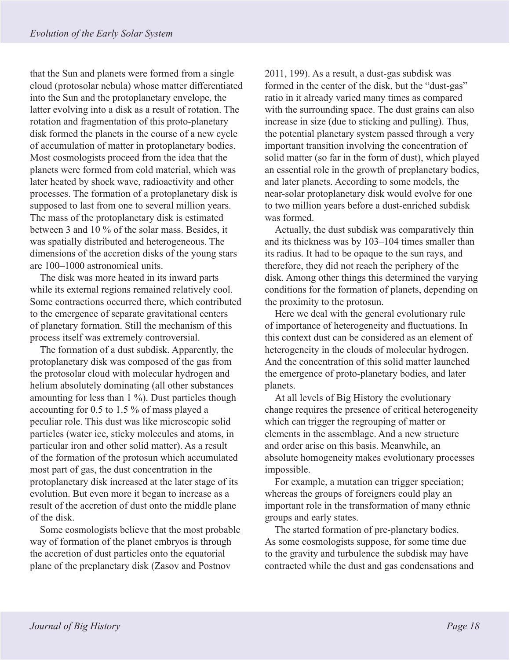that the Sun and planets were formed from a single cloud (protosolar nebula) whose matter differentiated into the Sun and the protoplanetary envelope, the latter evolving into a disk as a result of rotation. The rotation and fragmentation of this proto-planetary disk formed the planets in the course of a new cycle of accumulation of matter in protoplanetary bodies. Most cosmologists proceed from the idea that the planets were formed from cold material, which was later heated by shock wave, radioactivity and other processes. The formation of a protoplanetary disk is supposed to last from one to several million years. The mass of the protoplanetary disk is estimated between 3 and 10 % of the solar mass. Besides, it was spatially distributed and heterogeneous. The dimensions of the accretion disks of the young stars are 100–1000 astronomical units.

The disk was more heated in its inward parts while its external regions remained relatively cool. Some contractions occurred there, which contributed to the emergence of separate gravitational centers of planetary formation. Still the mechanism of this process itself was extremely controversial.

The formation of a dust subdisk. Apparently, the protoplanetary disk was composed of the gas from the protosolar cloud with molecular hydrogen and helium absolutely dominating (all other substances amounting for less than 1 %). Dust particles though accounting for 0.5 to 1.5 % of mass played a peculiar role. This dust was like microscopic solid particles (water ice, sticky molecules and atoms, in particular iron and other solid matter). As a result of the formation of the protosun which accumulated most part of gas, the dust concentration in the protoplanetary disk increased at the later stage of its evolution. But even more it began to increase as a result of the accretion of dust onto the middle plane of the disk.

Some cosmologists believe that the most probable way of formation of the planet embryos is through the accretion of dust particles onto the equatorial plane of the preplanetary disk (Zasov and Postnov

2011, 199). As a result, a dust-gas subdisk was formed in the center of the disk, but the "dust-gas" ratio in it already varied many times as compared with the surrounding space. The dust grains can also increase in size (due to sticking and pulling). Thus, the potential planetary system passed through a very important transition involving the concentration of solid matter (so far in the form of dust), which played an essential role in the growth of preplanetary bodies, and later planets. According to some models, the near-solar protoplanetary disk would evolve for one to two million years before a dust-enriched subdisk was formed.

Actually, the dust subdisk was comparatively thin and its thickness was by 103–104 times smaller than its radius. It had to be opaque to the sun rays, and therefore, they did not reach the periphery of the disk. Among other things this determined the varying conditions for the formation of planets, depending on the proximity to the protosun.

Here we deal with the general evolutionary rule of importance of heterogeneity and fluctuations. In this context dust can be considered as an element of heterogeneity in the clouds of molecular hydrogen. And the concentration of this solid matter launched the emergence of proto-planetary bodies, and later planets.

At all levels of Big History the evolutionary change requires the presence of critical heterogeneity which can trigger the regrouping of matter or elements in the assemblage. And a new structure and order arise on this basis. Meanwhile, an absolute homogeneity makes evolutionary processes impossible.

For example, a mutation can trigger speciation; whereas the groups of foreigners could play an important role in the transformation of many ethnic groups and early states.

The started formation of pre-planetary bodies. As some cosmologists suppose, for some time due to the gravity and turbulence the subdisk may have contracted while the dust and gas condensations and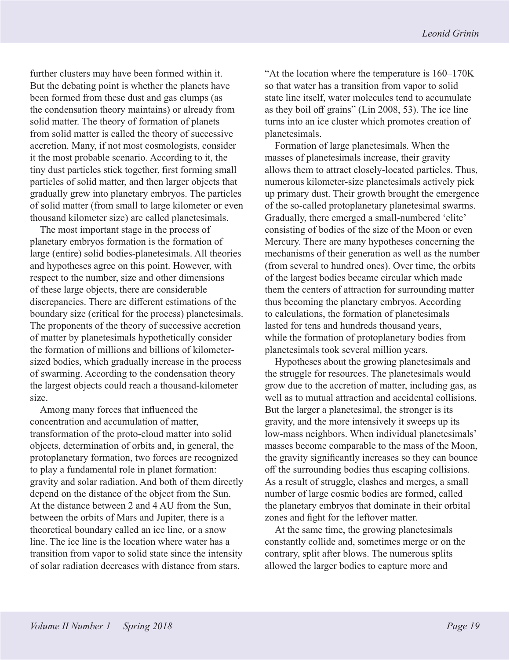further clusters may have been formed within it. But the debating point is whether the planets have been formed from these dust and gas clumps (as the condensation theory maintains) or already from solid matter. The theory of formation of planets from solid matter is called the theory of successive accretion. Many, if not most cosmologists, consider it the most probable scenario. According to it, the tiny dust particles stick together, first forming small particles of solid matter, and then larger objects that gradually grew into planetary embryos. The particles of solid matter (from small to large kilometer or even thousand kilometer size) are called planetesimals.

The most important stage in the process of planetary embryos formation is the formation of large (entire) solid bodies-planetesimals. All theories and hypotheses agree on this point. However, with respect to the number, size and other dimensions of these large objects, there are considerable discrepancies. There are different estimations of the boundary size (critical for the process) planetesimals. The proponents of the theory of successive accretion of matter by planetesimals hypothetically consider the formation of millions and billions of kilometersized bodies, which gradually increase in the process of swarming. According to the condensation theory the largest objects could reach a thousand-kilometer size.

Among many forces that influenced the concentration and accumulation of matter, transformation of the proto-cloud matter into solid objects, determination of orbits and, in general, the protoplanetary formation, two forces are recognized to play a fundamental role in planet formation: gravity and solar radiation. And both of them directly depend on the distance of the object from the Sun. At the distance between 2 and 4 AU from the Sun, between the orbits of Mars and Jupiter, there is a theoretical boundary called an ice line, or a snow line. The ice line is the location where water has a transition from vapor to solid state since the intensity of solar radiation decreases with distance from stars.

"At the location where the temperature is 160–170K so that water has a transition from vapor to solid state line itself, water molecules tend to accumulate as they boil off grains" (Lin 2008, 53). The ice line turns into an ice cluster which promotes creation of planetesimals.

Formation of large planetesimals. When the masses of planetesimals increase, their gravity allows them to attract closely-located particles. Thus, numerous kilometer-size planetesimals actively pick up primary dust. Their growth brought the emergence of the so-called protoplanetary planetesimal swarms. Gradually, there emerged a small-numbered 'elite' consisting of bodies of the size of the Moon or even Mercury. There are many hypotheses concerning the mechanisms of their generation as well as the number (from several to hundred ones). Over time, the orbits of the largest bodies became circular which made them the centers of attraction for surrounding matter thus becoming the planetary embryos. According to calculations, the formation of planetesimals lasted for tens and hundreds thousand years, while the formation of protoplanetary bodies from planetesimals took several million years.

Hypotheses about the growing planetesimals and the struggle for resources. The planetesimals would grow due to the accretion of matter, including gas, as well as to mutual attraction and accidental collisions. But the larger a planetesimal, the stronger is its gravity, and the more intensively it sweeps up its low-mass neighbors. When individual planetesimals' masses become comparable to the mass of the Moon, the gravity significantly increases so they can bounce off the surrounding bodies thus escaping collisions. As a result of struggle, clashes and merges, a small number of large cosmic bodies are formed, called the planetary embryos that dominate in their orbital zones and fight for the leftover matter.

At the same time, the growing planetesimals constantly collide and, sometimes merge or on the contrary, split after blows. The numerous splits allowed the larger bodies to capture more and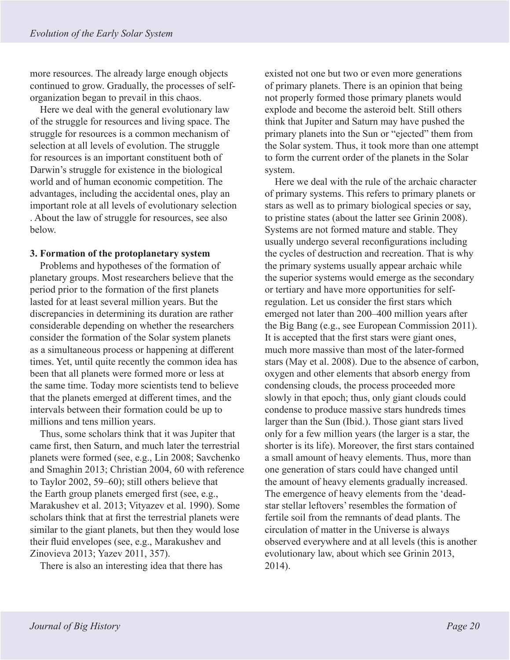more resources. The already large enough objects continued to grow. Gradually, the processes of selforganization began to prevail in this chaos.

Here we deal with the general evolutionary law of the struggle for resources and living space. The struggle for resources is a common mechanism of selection at all levels of evolution. The struggle for resources is an important constituent both of Darwin's struggle for existence in the biological world and of human economic competition. The advantages, including the accidental ones, play an important role at all levels of evolutionary selection . About the law of struggle for resources, see also below.

#### **3. Formation of the protoplanetary system**

Problems and hypotheses of the formation of planetary groups. Most researchers believe that the period prior to the formation of the first planets lasted for at least several million years. But the discrepancies in determining its duration are rather considerable depending on whether the researchers consider the formation of the Solar system planets as a simultaneous process or happening at different times. Yet, until quite recently the common idea has been that all planets were formed more or less at the same time. Today more scientists tend to believe that the planets emerged at different times, and the intervals between their formation could be up to millions and tens million years.

Thus, some scholars think that it was Jupiter that came first, then Saturn, and much later the terrestrial planets were formed (see, e.g., Lin 2008; Savchenko and Smaghin 2013; Christian 2004, 60 with reference to Taylor 2002, 59–60); still others believe that the Earth group planets emerged first (see, e.g., Marakushev et al. 2013; Vityazev et al. 1990). Some scholars think that at first the terrestrial planets were similar to the giant planets, but then they would lose their fluid envelopes (see, e.g., Marakushev and Zinovieva 2013; Yazev 2011, 357).

There is also an interesting idea that there has

existed not one but two or even more generations of primary planets. There is an opinion that being not properly formed those primary planets would explode and become the asteroid belt. Still others think that Jupiter and Saturn may have pushed the primary planets into the Sun or "ejected" them from the Solar system. Thus, it took more than one attempt to form the current order of the planets in the Solar system.

Here we deal with the rule of the archaic character of primary systems. This refers to primary planets or stars as well as to primary biological species or say, to pristine states (about the latter see Grinin 2008). Systems are not formed mature and stable. They usually undergo several reconfigurations including the cycles of destruction and recreation. That is why the primary systems usually appear archaic while the superior systems would emerge as the secondary or tertiary and have more opportunities for selfregulation. Let us consider the first stars which emerged not later than 200–400 million years after the Big Bang (e.g., see European Commission 2011). It is accepted that the first stars were giant ones, much more massive than most of the later-formed stars (May et al. 2008). Due to the absence of carbon, oxygen and other elements that absorb energy from condensing clouds, the process proceeded more slowly in that epoch; thus, only giant clouds could condense to produce massive stars hundreds times larger than the Sun (Ibid.). Those giant stars lived only for a few million years (the larger is a star, the shorter is its life). Moreover, the first stars contained a small amount of heavy elements. Thus, more than one generation of stars could have changed until the amount of heavy elements gradually increased. The emergence of heavy elements from the 'deadstar stellar leftovers' resembles the formation of fertile soil from the remnants of dead plants. The circulation of matter in the Universe is always observed everywhere and at all levels (this is another evolutionary law, about which see Grinin 2013, 2014).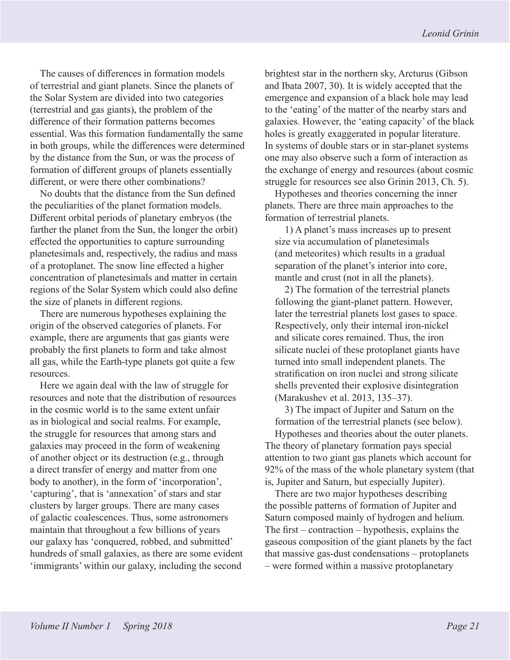The causes of differences in formation models of terrestrial and giant planets. Since the planets of the Solar System are divided into two categories (terrestrial and gas giants), the problem of the difference of their formation patterns becomes essential. Was this formation fundamentally the same in both groups, while the differences were determined by the distance from the Sun, or was the process of formation of different groups of planets essentially different, or were there other combinations?

No doubts that the distance from the Sun defined the peculiarities of the planet formation models. Different orbital periods of planetary embryos (the farther the planet from the Sun, the longer the orbit) effected the opportunities to capture surrounding planetesimals and, respectively, the radius and mass of a protoplanet. The snow line effected a higher concentration of planetesimals and matter in certain regions of the Solar System which could also define the size of planets in different regions.

There are numerous hypotheses explaining the origin of the observed categories of planets. For example, there are arguments that gas giants were probably the first planets to form and take almost all gas, while the Earth-type planets got quite a few resources.

Here we again deal with the law of struggle for resources and note that the distribution of resources in the cosmic world is to the same extent unfair as in biological and social realms. For example, the struggle for resources that among stars and galaxies may proceed in the form of weakening of another object or its destruction (e.g., through a direct transfer of energy and matter from one body to another), in the form of 'incorporation', 'capturing', that is 'annexation' of stars and star clusters by larger groups. There are many cases of galactic coalescences. Thus, some astronomers maintain that throughout a few billions of years our galaxy has 'conquered, robbed, and submitted' hundreds of small galaxies, as there are some evident 'immigrants' within our galaxy, including the second

brightest star in the northern sky, Arcturus (Gibson and Ibata 2007, 30). It is widely accepted that the emergence and expansion of a black hole may lead to the 'eating' of the matter of the nearby stars and galaxies. However, the 'eating capacity' of the black holes is greatly exaggerated in popular literature. In systems of double stars or in star-planet systems one may also observe such a form of interaction as the exchange of energy and resources (about cosmic struggle for resources see also Grinin 2013, Ch. 5).

Hypotheses and theories concerning the inner planets. There are three main approaches to the formation of terrestrial planets.

1) A planet's mass increases up to present size via accumulation of planetesimals (and meteorites) which results in a gradual separation of the planet's interior into core, mantle and crust (not in all the planets).

2) The formation of the terrestrial planets following the giant-planet pattern. However, later the terrestrial planets lost gases to space. Respectively, only their internal iron-nickel and silicate cores remained. Thus, the iron silicate nuclei of these protoplanet giants have turned into small independent planets. The stratification on iron nuclei and strong silicate shells prevented their explosive disintegration (Marakushev et al. 2013, 135–37).

3) The impact of Jupiter and Saturn on the formation of the terrestrial planets (see below). Hypotheses and theories about the outer planets. The theory of planetary formation pays special attention to two giant gas planets which account for 92% of the mass of the whole planetary system (that is, Jupiter and Saturn, but especially Jupiter).

There are two major hypotheses describing the possible patterns of formation of Jupiter and Saturn composed mainly of hydrogen and helium. The first – contraction – hypothesis, explains the gaseous composition of the giant planets by the fact that massive gas-dust condensations – protoplanets – were formed within a massive protoplanetary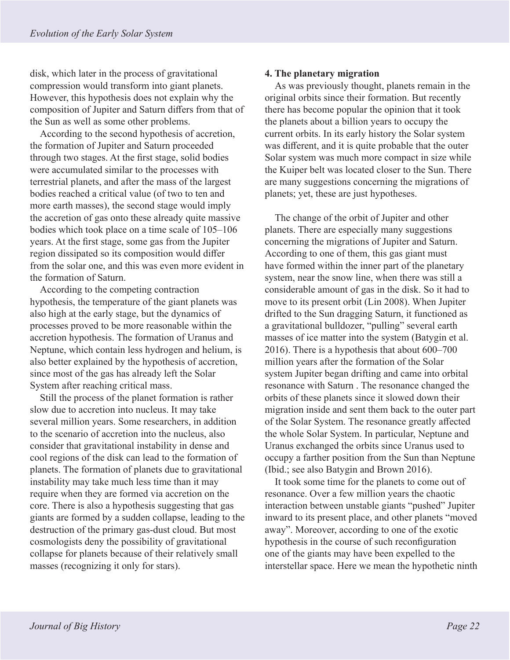disk, which later in the process of gravitational compression would transform into giant planets. However, this hypothesis does not explain why the composition of Jupiter and Saturn differs from that of the Sun as well as some other problems.

According to the second hypothesis of accretion, the formation of Jupiter and Saturn proceeded through two stages. At the first stage, solid bodies were accumulated similar to the processes with terrestrial planets, and after the mass of the largest bodies reached a critical value (of two to ten and more earth masses), the second stage would imply the accretion of gas onto these already quite massive bodies which took place on a time scale of 105–106 years. At the first stage, some gas from the Jupiter region dissipated so its composition would differ from the solar one, and this was even more evident in the formation of Saturn.

According to the competing contraction hypothesis, the temperature of the giant planets was also high at the early stage, but the dynamics of processes proved to be more reasonable within the accretion hypothesis. The formation of Uranus and Neptune, which contain less hydrogen and helium, is also better explained by the hypothesis of accretion, since most of the gas has already left the Solar System after reaching critical mass.

Still the process of the planet formation is rather slow due to accretion into nucleus. It may take several million years. Some researchers, in addition to the scenario of accretion into the nucleus, also consider that gravitational instability in dense and cool regions of the disk can lead to the formation of planets. The formation of planets due to gravitational instability may take much less time than it may require when they are formed via accretion on the core. There is also a hypothesis suggesting that gas giants are formed by a sudden collapse, leading to the destruction of the primary gas-dust cloud. But most cosmologists deny the possibility of gravitational collapse for planets because of their relatively small masses (recognizing it only for stars).

#### **4. The planetary migration**

As was previously thought, planets remain in the original orbits since their formation. But recently there has become popular the opinion that it took the planets about a billion years to occupy the current orbits. In its early history the Solar system was different, and it is quite probable that the outer Solar system was much more compact in size while the Kuiper belt was located closer to the Sun. There are many suggestions concerning the migrations of planets; yet, these are just hypotheses.

The change of the orbit of Jupiter and other planets. There are especially many suggestions concerning the migrations of Jupiter and Saturn. According to one of them, this gas giant must have formed within the inner part of the planetary system, near the snow line, when there was still a considerable amount of gas in the disk. So it had to move to its present orbit (Lin 2008). When Jupiter drifted to the Sun dragging Saturn, it functioned as a gravitational bulldozer, "pulling" several earth masses of ice matter into the system (Batygin et al. 2016). There is a hypothesis that about 600–700 million years after the formation of the Solar system Jupiter began drifting and came into orbital resonance with Saturn . The resonance changed the orbits of these planets since it slowed down their migration inside and sent them back to the outer part of the Solar System. The resonance greatly affected the whole Solar System. In particular, Neptune and Uranus exchanged the orbits since Uranus used to occupy a farther position from the Sun than Neptune (Ibid.; see also Batygin and Brown 2016).

It took some time for the planets to come out of resonance. Over a few million years the chaotic interaction between unstable giants "pushed" Jupiter inward to its present place, and other planets "moved away". Moreover, according to one of the exotic hypothesis in the course of such reconfiguration one of the giants may have been expelled to the interstellar space. Here we mean the hypothetic ninth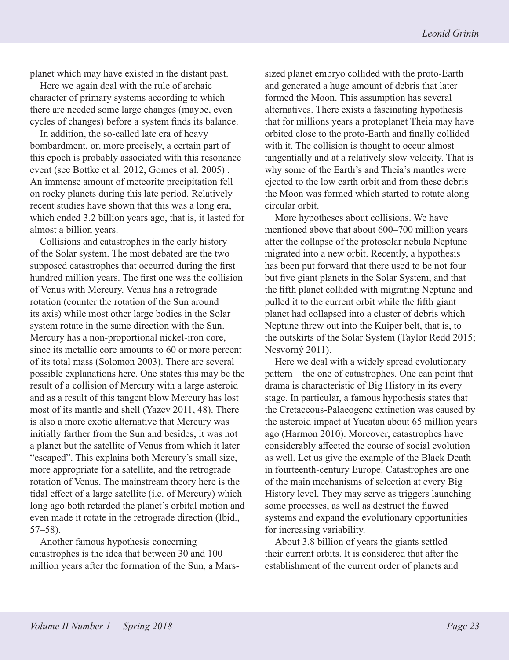planet which may have existed in the distant past.

Here we again deal with the rule of archaic character of primary systems according to which there are needed some large changes (maybe, even cycles of changes) before a system finds its balance.

In addition, the so-called late era of heavy bombardment, or, more precisely, a certain part of this epoch is probably associated with this resonance event (see Bottke et al. 2012, Gomes et al. 2005) . An immense amount of meteorite precipitation fell on rocky planets during this late period. Relatively recent studies have shown that this was a long era, which ended 3.2 billion years ago, that is, it lasted for almost a billion years.

Collisions and catastrophes in the early history of the Solar system. The most debated are the two supposed catastrophes that occurred during the first hundred million years. The first one was the collision of Venus with Mercury. Venus has a retrograde rotation (counter the rotation of the Sun around its axis) while most other large bodies in the Solar system rotate in the same direction with the Sun. Mercury has a non-proportional nickel-iron core, since its metallic core amounts to 60 or more percent of its total mass (Solomon 2003). There are several possible explanations here. One states this may be the result of a collision of Mercury with a large asteroid and as a result of this tangent blow Mercury has lost most of its mantle and shell (Yazev 2011, 48). There is also a more exotic alternative that Mercury was initially farther from the Sun and besides, it was not a planet but the satellite of Venus from which it later "escaped". This explains both Mercury's small size, more appropriate for a satellite, and the retrograde rotation of Venus. The mainstream theory here is the tidal effect of a large satellite (i.e. of Mercury) which long ago both retarded the planet's orbital motion and even made it rotate in the retrograde direction (Ibid., 57–58).

Another famous hypothesis concerning catastrophes is the idea that between 30 and 100 million years after the formation of the Sun, a Marssized planet embryo collided with the proto-Earth and generated a huge amount of debris that later formed the Moon. This assumption has several alternatives. There exists a fascinating hypothesis that for millions years a protoplanet Theia may have orbited close to the proto-Earth and finally collided with it. The collision is thought to occur almost tangentially and at a relatively slow velocity. That is why some of the Earth's and Theia's mantles were ejected to the low earth orbit and from these debris the Moon was formed which started to rotate along circular orbit.

More hypotheses about collisions. We have mentioned above that about 600–700 million years after the collapse of the protosolar nebula Neptune migrated into a new orbit. Recently, a hypothesis has been put forward that there used to be not four but five giant planets in the Solar System, and that the fifth planet collided with migrating Neptune and pulled it to the current orbit while the fifth giant planet had collapsed into a cluster of debris which Neptune threw out into the Kuiper belt, that is, to the outskirts of the Solar System (Taylor Redd 2015; Nesvorný 2011).

Here we deal with a widely spread evolutionary pattern – the one of catastrophes. One can point that drama is characteristic of Big History in its every stage. In particular, a famous hypothesis states that the Cretaceous-Palaeogene extinction was caused by the asteroid impact at Yucatan about 65 million years ago (Harmon 2010). Moreover, catastrophes have considerably affected the course of social evolution as well. Let us give the example of the Black Death in fourteenth-century Europe. Catastrophes are one of the main mechanisms of selection at every Big History level. They may serve as triggers launching some processes, as well as destruct the flawed systems and expand the evolutionary opportunities for increasing variability.

About 3.8 billion of years the giants settled their current orbits. It is considered that after the establishment of the current order of planets and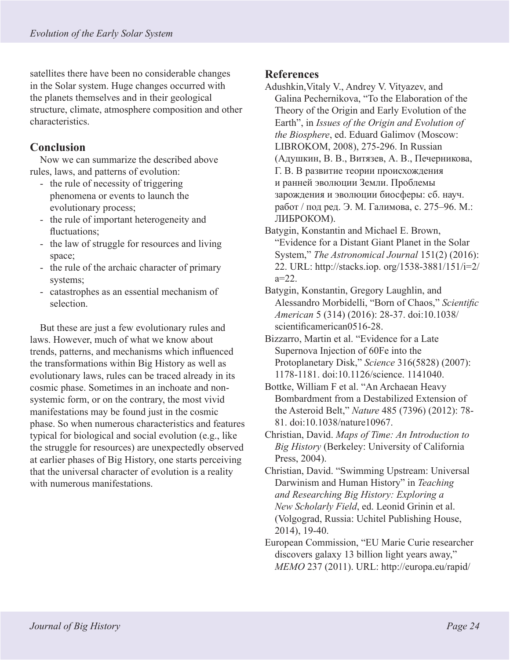satellites there have been no considerable changes in the Solar system. Huge changes occurred with the planets themselves and in their geological structure, climate, atmosphere composition and other characteristics.

## **Conclusion**

Now we can summarize the described above rules, laws, and patterns of evolution:

- the rule of necessity of triggering phenomena or events to launch the evolutionary process;
- the rule of important heterogeneity and fluctuations:
- the law of struggle for resources and living space;
- the rule of the archaic character of primary systems;
- catastrophes as an essential mechanism of selection.

But these are just a few evolutionary rules and laws. However, much of what we know about trends, patterns, and mechanisms which influenced the transformations within Big History as well as evolutionary laws, rules can be traced already in its cosmic phase. Sometimes in an inchoate and nonsystemic form, or on the contrary, the most vivid manifestations may be found just in the cosmic phase. So when numerous characteristics and features typical for biological and social evolution (e.g., like the struggle for resources) are unexpectedly observed at earlier phases of Big History, one starts perceiving that the universal character of evolution is a reality with numerous manifestations.

## **References**

Adushkin,Vitaly V., Andrey V. Vityazev, and Galina Pechernikova, "To the Elaboration of the Theory of the Origin and Early Evolution of the Earth", in *Issues of the Origin and Evolution of the Biosphere*, ed. Eduard Galimov (Moscow: LIBROKOM, 2008), 275-296. In Russian (Адушкин, В. В., Витязев, А. В., Печерникова, Г. В. В развитие теории происхождения и ранней эволюции Земли. Проблемы зарождения и эволюции биосферы: сб. науч. работ / под ред. Э. М. Галимова, с. 275–96. М.: ЛИБРОКОМ).

- Batygin, Konstantin and Michael E. Brown, "Evidence for a Distant Giant Planet in the Solar System," *The Astronomical Journal* 151(2) (2016): 22. URL: http://stacks.iop. org/1538-3881/151/i=2/  $a=22$ .
- Batygin, Konstantin, Gregory Laughlin, and Alessandro Morbidelli, "Born of Chaos," *Scientific American* 5 (314) (2016): 28-37. doi:10.1038/ scientificamerican0516-28.
- Bizzarro, Martin et al. "Evidence for a Late Supernova Injection of 60Fe into the Protoplanetary Disk," *Science* 316(5828) (2007): 1178-1181. doi:10.1126/science. 1141040.
- Bottke, William F et al. "An Archaean Heavy Bombardment from a Destabilized Extension of the Asteroid Belt," *Nature* 485 (7396) (2012): 78- 81. doi:10.1038/nature10967.
- Christian, David. *Maps of Time: An Introduction to Big History* (Berkeley: University of California Press, 2004).
- Christian, David. "Swimming Upstream: Universal Darwinism and Human History" in *Teaching and Researching Big History: Exploring a New Scholarly Field*, ed. Leonid Grinin et al. (Volgograd, Russia: Uchitel Publishing House, 2014), 19-40.
- European Commission, "EU Marie Curie researcher discovers galaxy 13 billion light years away," *MEMO* 237 (2011). URL: http://europa.eu/rapid/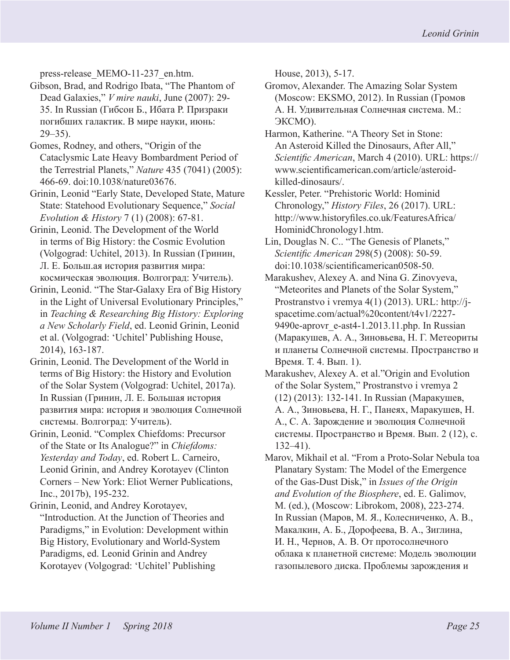press-release\_MEMO-11-237\_en.htm.

- Gibson, Brad, and Rodrigo Ibata, "The Phantom of Dead Galaxies," *V mire nauki*, June (2007): 29- 35. In Russian (Гибсон Б., Ибата Р. Призраки погибших галактик. В мире науки, июнь: 29–35).
- Gomes, Rodney, and others, "Origin of the Cataclysmic Late Heavy Bombardment Period of the Terrestrial Planets," *Nature* 435 (7041) (2005): 466-69. doi:10.1038/nature03676.
- Grinin, Leonid "Early State, Developed State, Mature State: Statehood Evolutionary Sequence," *Social Evolution & History* 7 (1) (2008): 67-81.
- Grinin, Leonid. The Development of the World in terms of Big History: the Cosmic Evolution (Volgograd: Uchitel, 2013). In Russian (Гринин, Л. Е. Больш.ая история развития мира: космическая эволюция. Волгоград: Учитель).
- Grinin, Leonid. "The Star-Galaxy Era of Big History in the Light of Universal Evolutionary Principles," in *Teaching & Researching Big History: Exploring a New Scholarly Field*, ed. Leonid Grinin, Leonid et al. (Volgograd: 'Uchitel' Publishing House, 2014), 163-187.
- Grinin, Leonid. The Development of the World in terms of Big History: the History and Evolution of the Solar System (Volgograd: Uchitel, 2017a). In Russian (Гринин, Л. Е. Большая история развития мира: история и эволюция Солнечной системы. Волгоград: Учитель).
- Grinin, Leonid. "Complex Chiefdoms: Precursor of the State or Its Analogue?" in *Chiefdoms: Yesterday and Today*, ed. Robert L. Carneiro, Leonid Grinin, and Andrey Korotayev (Clinton Corners – New York: Eliot Werner Publications, Inc., 2017b), 195-232.
- Grinin, Leonid, and Andrey Korotayev, "Introduction. At the Junction of Theories and Paradigms," in Evolution: Development within Big History, Evolutionary and World-System Paradigms, ed. Leonid Grinin and Andrey Korotayev (Volgograd: 'Uchitel' Publishing

House, 2013), 5-17.

- Gromov, Alexander. The Amazing Solar System (Moscow: EKSMO, 2012). In Russian (Громов А. Н. Удивительная Солнечная система. М.: ЭКСМО).
- Harmon, Katherine. "A Theory Set in Stone: An Asteroid Killed the Dinosaurs, After All," *Scientific American*, March 4 (2010). URL: https:// www.scientificamerican.com/article/asteroidkilled-dinosaurs/.
- Kessler, Peter. "Prehistoric World: Hominid Chronology," *History Files*, 26 (2017). URL: http://www.historyfiles.co.uk/FeaturesAfrica/ HominidChronology1.htm.
- Lin, Douglas N. C.. "The Genesis of Planets," *Scientific American* 298(5) (2008): 50-59. doi:10.1038/scientificamerican0508-50.
- Marakushev, Alexey A. and Nina G. Zinovyeva, "Meteorites and Planets of the Solar System," Prostranstvo i vremya 4(1) (2013). URL: http://jspacetime.com/actual%20content/t4v1/2227- 9490e-aprovr\_e-ast4-1.2013.11.php. In Russian (Маракушев, А. А., Зиновьева, Н. Г. Метеориты и планеты Солнечной системы. Пространство и Время. Т. 4. Вып. 1).
- Marakushev, Alexey A. et al."Origin and Evolution of the Solar System," Prostranstvo i vremya 2 (12) (2013): 132-141. In Russian (Маракушев, А. А., Зиновьева, Н. Г., Панеях, Маракушев, Н. А., С. А. Зарождение и эволюция Солнечной системы. Пространство и Время. Вып. 2 (12), с. 132–41).
- Marov, Mikhail et al. "From a Proto-Solar Nebula toa Planatary Systam: The Model of the Emergence of the Gas-Dust Disk," in *Issues of the Origin and Evolution of the Biosphere*, ed. E. Galimov, M. (ed.), (Moscow: Librokom, 2008), 223-274. In Russian (Маров, М. Я., Колесниченко, А. В., Макалкин, А. Б., Дорофеева, В. А., Зиглина, И. Н., Чернов, А. В. От протосолнечного облака к планетной системе: Модель эволюции газопылевого диска. Проблемы зарождения и